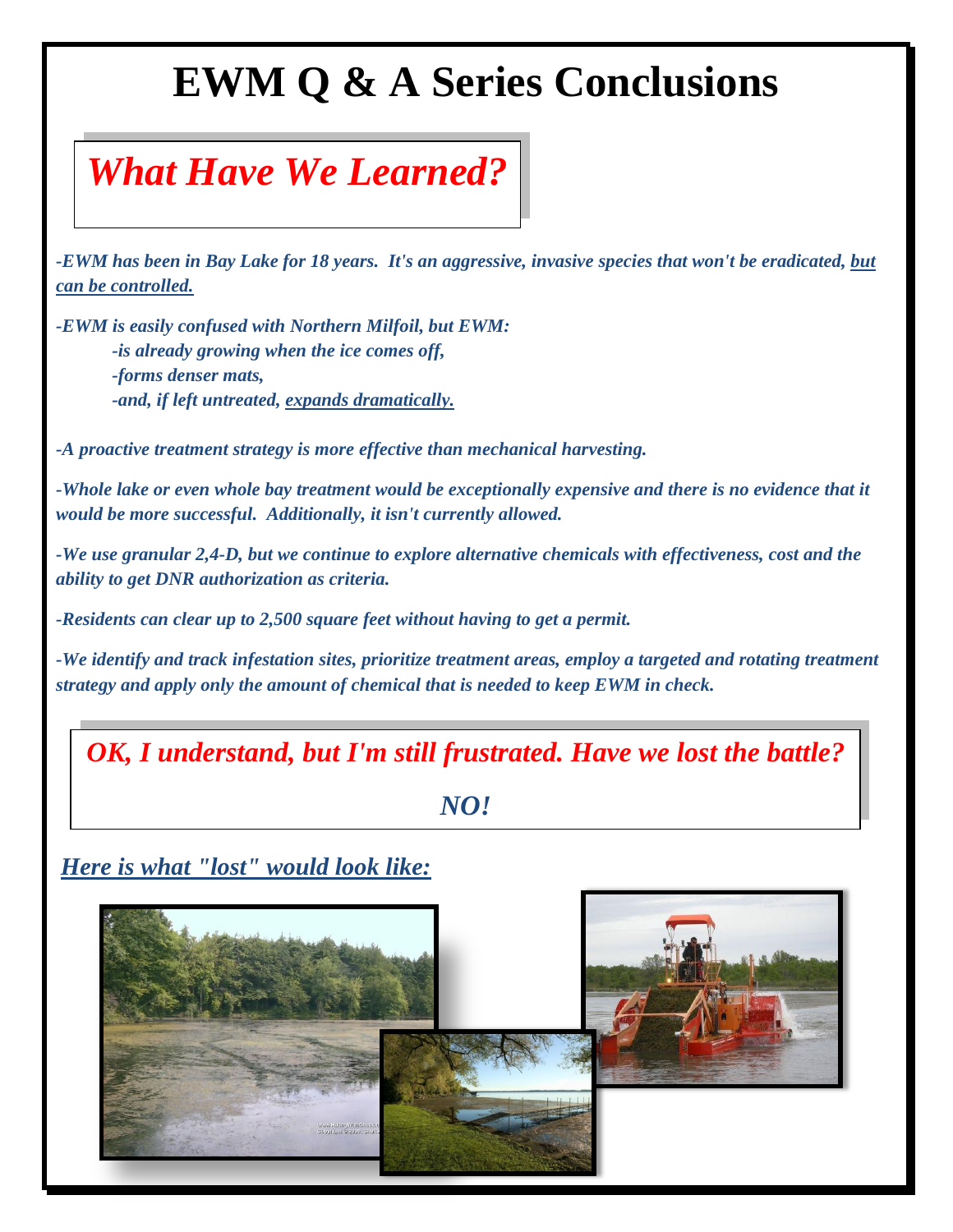## **EWM Q & A Series Conclusions**

## *What Have We Learned?*

*-EWM has been in Bay Lake for 18 years. It's an aggressive, invasive species that won't be eradicated, but can be controlled.*

*-EWM is easily confused with Northern Milfoil, but EWM: -is already growing when the ice comes off, -forms denser mats, -and, if left untreated, expands dramatically.*

*-A proactive treatment strategy is more effective than mechanical harvesting.*

*-Whole lake or even whole bay treatment would be exceptionally expensive and there is no evidence that it would be more successful. Additionally, it isn't currently allowed.*

*-We use granular 2,4-D, but we continue to explore alternative chemicals with effectiveness, cost and the ability to get DNR authorization as criteria.*

*-Residents can clear up to 2,500 square feet without having to get a permit.*

*-We identify and track infestation sites, prioritize treatment areas, employ a targeted and rotating treatment strategy and apply only the amount of chemical that is needed to keep EWM in check.*

*OK, I understand, but I'm still frustrated. Have we lost the battle?*

### *NO!*

*Here is what "lost" would look like:*

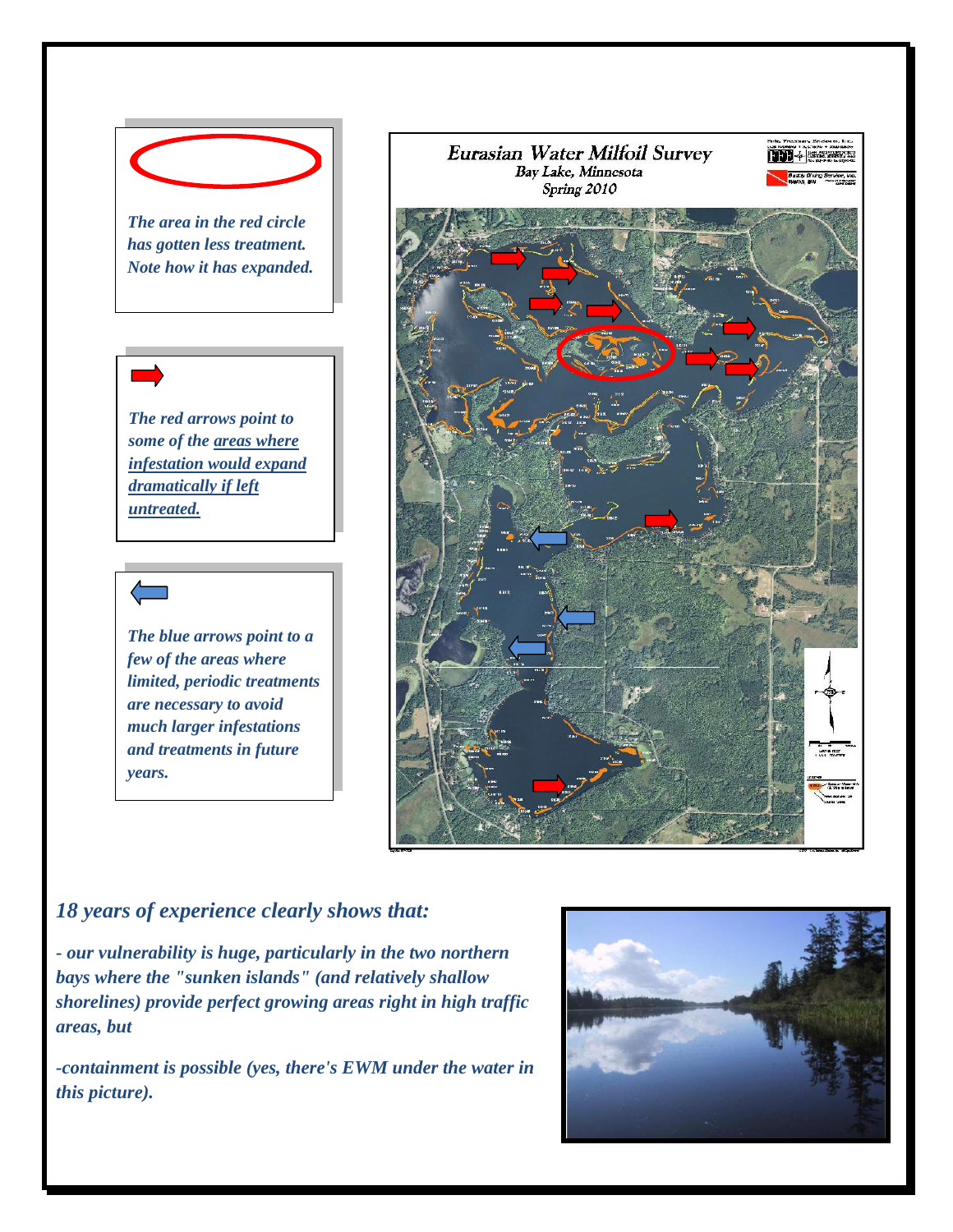

*has gotten less treatment. Note how it has expanded.*



*The blue arrows point to a few of the areas where limited, periodic treatments are necessary to avoid much larger infestations and treatments in future years.*



### *18 years of experience clearly shows that:*

*- our vulnerability is huge, particularly in the two northern bays where the "sunken islands" (and relatively shallow shorelines) provide perfect growing areas right in high traffic areas, but*

*-containment is possible (yes, there's EWM under the water in this picture).*